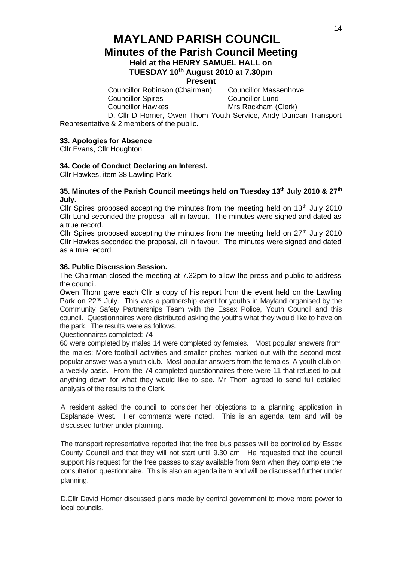# **MAYLAND PARISH COUNCIL Minutes of the Parish Council Meeting Held at the HENRY SAMUEL HALL on TUESDAY 10th August 2010 at 7.30pm**

**Present**

Councillor Robinson (Chairman) Councillor Massenhove **Councillor Spires** Councillor Lund Councillor Hawkes Mrs Rackham (Clerk)

D. Cllr D Horner, Owen Thom Youth Service, Andy Duncan Transport Representative & 2 members of the public.

## **33. Apologies for Absence**

Cllr Evans, Cllr Houghton

# **34. Code of Conduct Declaring an Interest.**

Cllr Hawkes, item 38 Lawling Park.

## **35. Minutes of the Parish Council meetings held on Tuesday 13th July 2010 & 27 th July.**

Cllr Spires proposed accepting the minutes from the meeting held on  $13<sup>th</sup>$  July 2010 Cllr Lund seconded the proposal, all in favour. The minutes were signed and dated as a true record.

Cllr Spires proposed accepting the minutes from the meeting held on  $27<sup>th</sup>$  July 2010 Cllr Hawkes seconded the proposal, all in favour. The minutes were signed and dated as a true record.

## **36. Public Discussion Session.**

The Chairman closed the meeting at 7.32pm to allow the press and public to address the council.

Owen Thom gave each Cllr a copy of his report from the event held on the Lawling Park on 22<sup>nd</sup> July. This was a partnership event for youths in Mayland organised by the Community Safety Partnerships Team with the Essex Police, Youth Council and this council. Questionnaires were distributed asking the youths what they would like to have on the park. The results were as follows.

Questionnaires completed: 74

60 were completed by males 14 were completed by females. Most popular answers from the males: More football activities and smaller pitches marked out with the second most popular answer was a youth club. Most popular answers from the females: A youth club on a weekly basis. From the 74 completed questionnaires there were 11 that refused to put anything down for what they would like to see. Mr Thom agreed to send full detailed analysis of the results to the Clerk.

A resident asked the council to consider her objections to a planning application in Esplanade West. Her comments were noted. This is an agenda item and will be discussed further under planning.

The transport representative reported that the free bus passes will be controlled by Essex County Council and that they will not start until 9.30 am. He requested that the council support his request for the free passes to stay available from 9am when they complete the consultation questionnaire. This is also an agenda item and will be discussed further under planning.

D.Cllr David Horner discussed plans made by central government to move more power to local councils.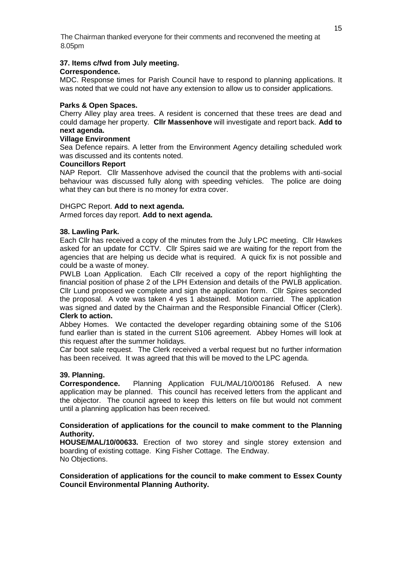The Chairman thanked everyone for their comments and reconvened the meeting at 8.05pm

# **37. Items c/fwd from July meeting.**

## **Correspondence.**

MDC. Response times for Parish Council have to respond to planning applications. It was noted that we could not have any extension to allow us to consider applications.

## **Parks & Open Spaces.**

Cherry Alley play area trees. A resident is concerned that these trees are dead and could damage her property. **Cllr Massenhove** will investigate and report back. **Add to next agenda.**

### **Village Environment**

Sea Defence repairs. A letter from the Environment Agency detailing scheduled work was discussed and its contents noted.

#### **Councillors Report**

NAP Report. Cllr Massenhove advised the council that the problems with anti-social behaviour was discussed fully along with speeding vehicles. The police are doing what they can but there is no money for extra cover.

### DHGPC Report. **Add to next agenda.**

Armed forces day report. **Add to next agenda.**

### **38. Lawling Park.**

Each Cllr has received a copy of the minutes from the July LPC meeting. Cllr Hawkes asked for an update for CCTV. Cllr Spires said we are waiting for the report from the agencies that are helping us decide what is required. A quick fix is not possible and could be a waste of money.

PWLB Loan Application. Each Cllr received a copy of the report highlighting the financial position of phase 2 of the LPH Extension and details of the PWLB application. Cllr Lund proposed we complete and sign the application form. Cllr Spires seconded the proposal. A vote was taken 4 yes 1 abstained. Motion carried. The application was signed and dated by the Chairman and the Responsible Financial Officer (Clerk). **Clerk to action.**

Abbey Homes. We contacted the developer regarding obtaining some of the S106 fund earlier than is stated in the current S106 agreement. Abbey Homes will look at this request after the summer holidays.

Car boot sale request. The Clerk received a verbal request but no further information has been received. It was agreed that this will be moved to the LPC agenda.

## **39. Planning.**

**Correspondence.** Planning Application FUL/MAL/10/00186 Refused. A new application may be planned. This council has received letters from the applicant and the objector. The council agreed to keep this letters on file but would not comment until a planning application has been received.

## **Consideration of applications for the council to make comment to the Planning Authority.**

**HOUSE/MAL/10/00633.** Erection of two storey and single storey extension and boarding of existing cottage. King Fisher Cottage. The Endway. No Objections.

**Consideration of applications for the council to make comment to Essex County Council Environmental Planning Authority.**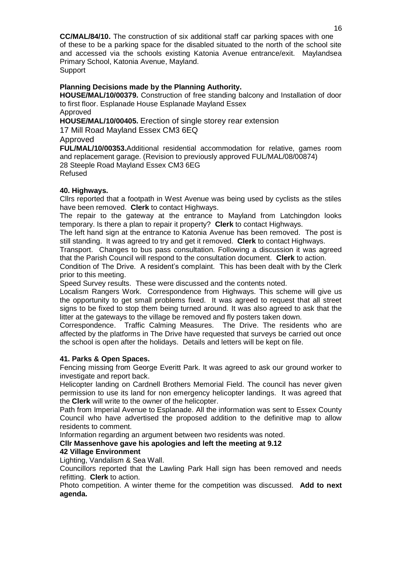**CC/MAL/84/10.** The construction of six additional staff car parking spaces with one of these to be a parking space for the disabled situated to the north of the school site and accessed via the schools existing Katonia Avenue entrance/exit. Maylandsea Primary School, Katonia Avenue, Mayland. **Support** 

# **Planning Decisions made by the Planning Authority.**

**HOUSE/MAL/10/00379.** Construction of free standing balcony and Installation of door to first floor. Esplanade House Esplanade Mayland Essex

Approved

**HOUSE/MAL/10/00405.** Erection of single storey rear extension

17 Mill Road Mayland Essex CM3 6EQ

Approved

**FUL/MAL/10/00353.**Additional residential accommodation for relative, games room and replacement garage. (Revision to previously approved FUL/MAL/08/00874) 28 Steeple Road Mayland Essex CM3 6EG Refused

# **40. Highways.**

Cllrs reported that a footpath in West Avenue was being used by cyclists as the stiles have been removed. **Clerk** to contact Highways.

The repair to the gateway at the entrance to Mayland from Latchingdon looks temporary. Is there a plan to repair it property? **Clerk** to contact Highways.

The left hand sign at the entrance to Katonia Avenue has been removed. The post is still standing. It was agreed to try and get it removed. **Clerk** to contact Highways.

Transport. Changes to bus pass consultation. Following a discussion it was agreed that the Parish Council will respond to the consultation document. **Clerk** to action.

Condition of The Drive. A resident's complaint. This has been dealt with by the Clerk prior to this meeting.

Speed Survey results. These were discussed and the contents noted.

Localism Rangers Work. Correspondence from Highways. This scheme will give us the opportunity to get small problems fixed. It was agreed to request that all street signs to be fixed to stop them being turned around. It was also agreed to ask that the litter at the gateways to the village be removed and fly posters taken down.

Correspondence. Traffic Calming Measures. The Drive. The residents who are affected by the platforms in The Drive have requested that surveys be carried out once the school is open after the holidays. Details and letters will be kept on file.

# **41. Parks & Open Spaces.**

Fencing missing from George Everitt Park. It was agreed to ask our ground worker to investigate and report back.

Helicopter landing on Cardnell Brothers Memorial Field. The council has never given permission to use its land for non emergency helicopter landings. It was agreed that the **Clerk** will write to the owner of the helicopter.

Path from Imperial Avenue to Esplanade. All the information was sent to Essex County Council who have advertised the proposed addition to the definitive map to allow residents to comment.

Information regarding an argument between two residents was noted.

# **Cllr Massenhove gave his apologies and left the meeting at 9.12**

# **42 Village Environment**

Lighting, Vandalism & Sea Wall.

Councillors reported that the Lawling Park Hall sign has been removed and needs refitting. **Clerk** to action.

Photo competition. A winter theme for the competition was discussed. **Add to next agenda.**